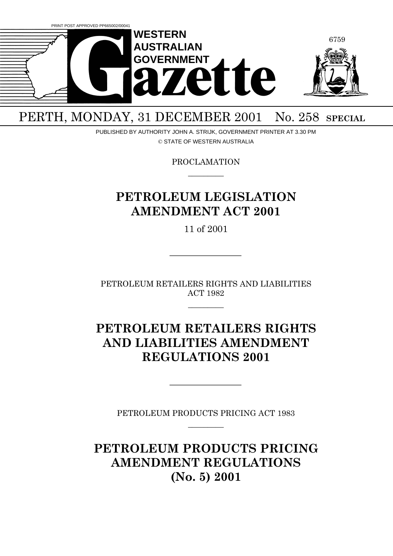

# PERTH, MONDAY, 31 DECEMBER 2001 No. 258 SPECIAL

PUBLISHED BY AUTHORITY JOHN A. STRIJK, GOVERNMENT PRINTER AT 3.30 PM © STATE OF WESTERN AUSTRALIA

> PROCLAMATION  $\overline{\phantom{a}}$

## **PETROLEUM LEGISLATION AMENDMENT ACT 2001**

11 of 2001

PETROLEUM RETAILERS RIGHTS AND LIABILITIES ACT 1982

 $\overline{\phantom{a}}$ 

## **PETROLEUM RETAILERS RIGHTS AND LIABILITIES AMENDMENT REGULATIONS 2001**

PETROLEUM PRODUCTS PRICING ACT 1983  $\overline{\phantom{a}}$ 

**PETROLEUM PRODUCTS PRICING AMENDMENT REGULATIONS (No. 5) 2001**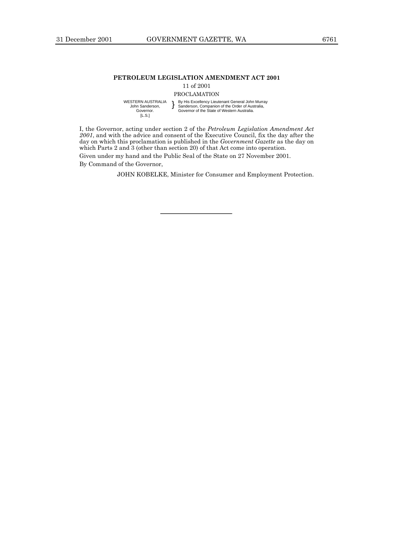#### **PETROLEUM LEGISLATION AMENDMENT ACT 2001**

11 of 2001

PROCLAMATION

WESTERN AUSTRALIA John Sanderson, Governor. [L.S.]

} By His Excellency Lieutenant General John Murray Sanderson, Companion of the Order of Australia, Governor of the State of Western Australia.

I, the Governor, acting under section 2 of the *Petroleum Legislation Amendment Act 2001*, and with the advice and consent of the Executive Council, fix the day after the day on which this proclamation is published in the *Government Gazette* as the day on which Parts 2 and 3 (other than section 20) of that Act come into operation. Given under my hand and the Public Seal of the State on 27 November 2001.

By Command of the Governor,

JOHN KOBELKE, Minister for Consumer and Employment Protection.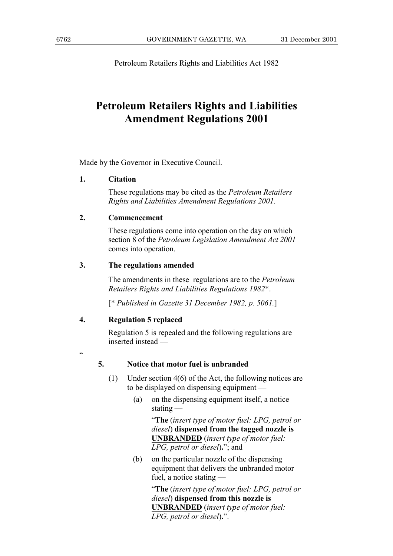Petroleum Retailers Rights and Liabilities Act 1982

## **Petroleum Retailers Rights and Liabilities Amendment Regulations 2001**

Made by the Governor in Executive Council.

### **1. Citation**

These regulations may be cited as the *Petroleum Retailers Rights and Liabilities Amendment Regulations 2001*.

### **2. Commencement**

These regulations come into operation on the day on which section 8 of the *Petroleum Legislation Amendment Act 2001* comes into operation.

### **3. The regulations amended**

The amendments in these regulations are to the *Petroleum Retailers Rights and Liabilities Regulations 1982*\*.

[\* *Published in Gazette 31 December 1982, p. 5061.*]

```
4. Regulation 5 replaced
```
Regulation 5 is repealed and the following regulations are inserted instead  $\equiv$ 

ì

### **5. Notice that motor fuel is unbranded**

- (1) Under section 4(6) of the Act, the following notices are to be displayed on dispensing equipment  $-$ 
	- (a) on the dispensing equipment itself, a notice stating  $-$

ì**The** (*insert type of motor fuel: LPG, petrol or diesel*) **dispensed from the tagged nozzle is UNBRANDED** (*insert type of motor fuel: LPG, petrol or diesel*)**.**î; and

(b) on the particular nozzle of the dispensing equipment that delivers the unbranded motor fuel, a notice stating  $-$ 

> ì**The** (*insert type of motor fuel: LPG, petrol or diesel*) **dispensed from this nozzle is UNBRANDED** (*insert type of motor fuel: LPG, petrol or diesel*)**.**î.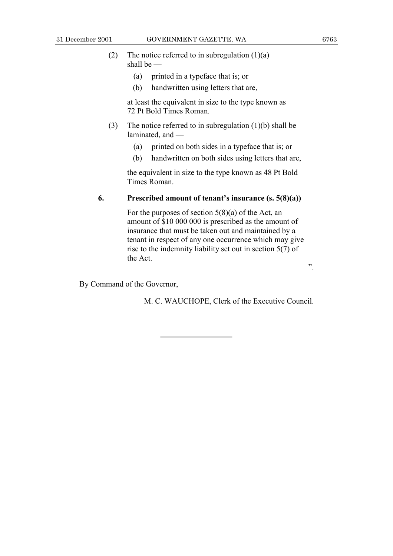- (2) The notice referred to in subregulation  $(1)(a)$ shall be  $-$ 
	- (a) printed in a typeface that is; or
	- (b) handwritten using letters that are,

at least the equivalent in size to the type known as 72 Pt Bold Times Roman.

- (3) The notice referred to in subregulation (1)(b) shall be laminated, and  $-$ 
	- (a) printed on both sides in a typeface that is; or
	- (b) handwritten on both sides using letters that are,

the equivalent in size to the type known as 48 Pt Bold Times Roman.

## **6.** Prescribed amount of tenant's insurance  $(s, 5(8)(a))$

For the purposes of section  $5(8)(a)$  of the Act, an amount of \$10 000 000 is prescribed as the amount of insurance that must be taken out and maintained by a tenant in respect of any one occurrence which may give rise to the indemnity liability set out in section 5(7) of the Act.

î.

By Command of the Governor,

M. C. WAUCHOPE, Clerk of the Executive Council.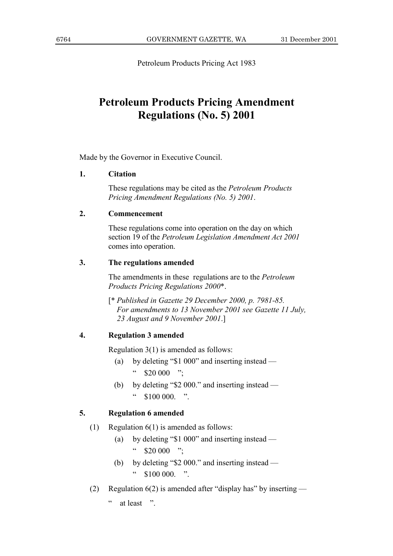Petroleum Products Pricing Act 1983

## **Petroleum Products Pricing Amendment Regulations (No. 5) 2001**

Made by the Governor in Executive Council.

#### $\mathbf{1}$ . **Citation**

These regulations may be cited as the *Petroleum Products* Pricing Amendment Regulations (No. 5) 2001.

#### $2.$ Commencement

These regulations come into operation on the day on which section 19 of the Petroleum Legislation Amendment Act 2001 comes into operation.

#### $3.$ The regulations amended

The amendments in these regulations are to the *Petroleum* Products Pricing Regulations 2000\*.

[\* Published in Gazette 29 December 2000, p. 7981-85.] For amendments to 13 November 2001 see Gazette 11 July, 23 August and 9 November 2001.]

#### $\overline{4}$ . **Regulation 3 amended**

Regulation  $3(1)$  is amended as follows:

- $(a)$ by deleting " $$1\,000$ " and inserting instead — " \$20 000 ";
- by deleting "\$2 000." and inserting instead -(b)  $\epsilon\, \epsilon$  $$100,000$  "

#### 5. **Regulation 6 amended**

- Regulation  $6(1)$  is amended as follows:  $(1)$ 
	- by deleting " $$1\,000$ " and inserting instead  $(a)$  $\mathfrak{c}\,\mathfrak{c}$  $$20\,000$  ":
	- by deleting "\$2 000." and inserting instead (b)  $\mathcal{C} \mathcal{C}$  $$100000$  "
- Regulation  $6(2)$  is amended after "display has" by inserting  $(2)$

 $\bar{\epsilon}$ at least "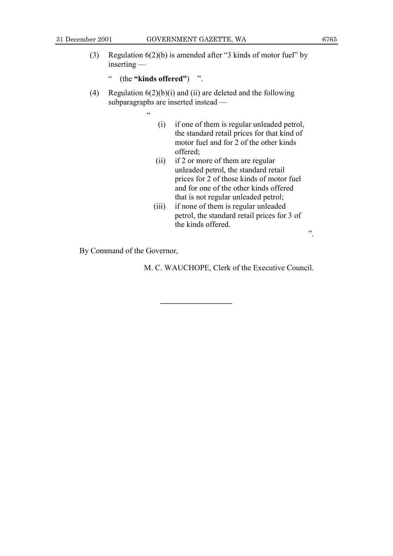- (3) Regulation  $6(2)(b)$  is amended after "3 kinds of motor fuel" by  $inserting$  –
	- **ii** (the "kinds offered") <sup>"</sup>.

 $\epsilon$ 

- (4) Regulation  $6(2)(b)(i)$  and (ii) are deleted and the following subparagraphs are inserted instead –
	-
	- (i) if one of them is regular unleaded petrol, the standard retail prices for that kind of motor fuel and for 2 of the other kinds offered;
	- (ii) if 2 or more of them are regular unleaded petrol, the standard retail prices for 2 of those kinds of motor fuel and for one of the other kinds offered that is not regular unleaded petrol;
	- (iii) if none of them is regular unleaded petrol, the standard retail prices for 3 of the kinds offered.

By Command of the Governor,

M. C. WAUCHOPE, Clerk of the Executive Council.

î.